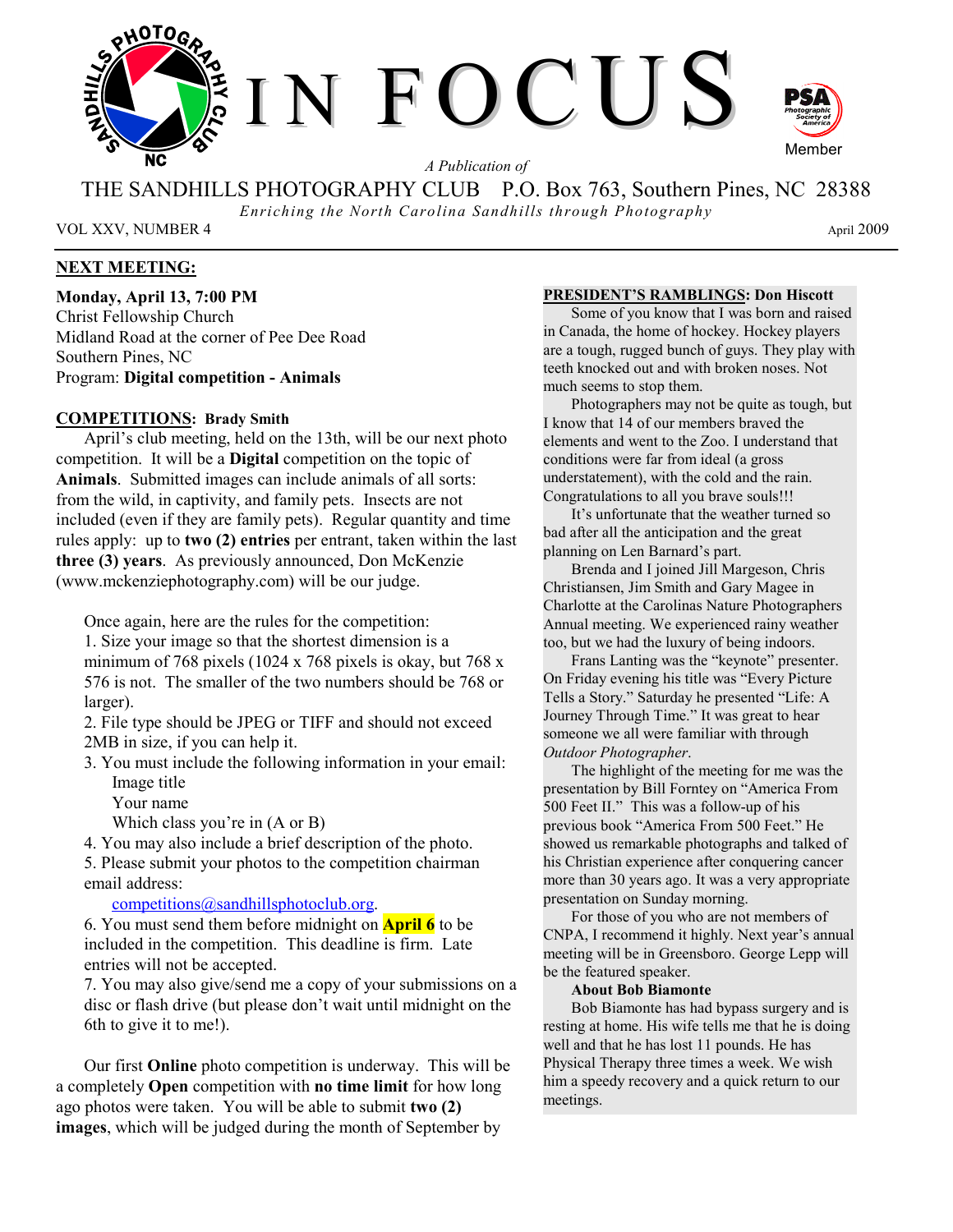

*A Publication of* 

THE SANDHILLS PHOTOGRAPHY CLUB P.O. Box 763, Southern Pines, NC 28388

*Enriching the North Carolina Sandhills through Photography* 

VOL XXV, NUMBER 4 April 2009

## **NEXT MEETING:**

**Monday, April 13, 7:00 PM**  Christ Fellowship Church Midland Road at the corner of Pee Dee Road Southern Pines, NC Program: **Digital competition - Animals**

### **COMPETITIONS: Brady Smith**

April's club meeting, held on the 13th, will be our next photo competition. It will be a **Digital** competition on the topic of **Animals**. Submitted images can include animals of all sorts: from the wild, in captivity, and family pets. Insects are not included (even if they are family pets). Regular quantity and time rules apply: up to **two (2) entries** per entrant, taken within the last **three (3) years**. As previously announced, Don McKenzie (www.mckenziephotography.com) will be our judge.

Once again, here are the rules for the competition:

1. Size your image so that the shortest dimension is a minimum of 768 pixels (1024 x 768 pixels is okay, but 768 x 576 is not. The smaller of the two numbers should be 768 or larger).

2. File type should be JPEG or TIFF and should not exceed 2MB in size, if you can help it.

3. You must include the following information in your email: Image title

Your name

Which class you're in (A or B)

4. You may also include a brief description of the photo.

5. Please submit your photos to the competition chairman email address:

competitions@sandhillsphotoclub.org.

6. You must send them before midnight on **April 6** to be included in the competition. This deadline is firm. Late entries will not be accepted.

7. You may also give/send me a copy of your submissions on a disc or flash drive (but please don't wait until midnight on the 6th to give it to me!).

Our first **Online** photo competition is underway. This will be a completely **Open** competition with **no time limit** for how long ago photos were taken. You will be able to submit **two (2) images**, which will be judged during the month of September by

#### **PRESIDENT'S RAMBLINGS: Don Hiscott**

Some of you know that I was born and raised in Canada, the home of hockey. Hockey players are a tough, rugged bunch of guys. They play with teeth knocked out and with broken noses. Not much seems to stop them.

Photographers may not be quite as tough, but I know that 14 of our members braved the elements and went to the Zoo. I understand that conditions were far from ideal (a gross understatement), with the cold and the rain. Congratulations to all you brave souls!!!

It's unfortunate that the weather turned so bad after all the anticipation and the great planning on Len Barnard's part.

Brenda and I joined Jill Margeson, Chris Christiansen, Jim Smith and Gary Magee in Charlotte at the Carolinas Nature Photographers Annual meeting. We experienced rainy weather too, but we had the luxury of being indoors.

Frans Lanting was the "keynote" presenter. On Friday evening his title was "Every Picture Tells a Story." Saturday he presented "Life: A Journey Through Time." It was great to hear someone we all were familiar with through *Outdoor Photographer*.

The highlight of the meeting for me was the presentation by Bill Forntey on "America From 500 Feet II." This was a follow-up of his previous book "America From 500 Feet." He showed us remarkable photographs and talked of his Christian experience after conquering cancer more than 30 years ago. It was a very appropriate presentation on Sunday morning.

For those of you who are not members of CNPA, I recommend it highly. Next year's annual meeting will be in Greensboro. George Lepp will be the featured speaker.

### **About Bob Biamonte**

Bob Biamonte has had bypass surgery and is resting at home. His wife tells me that he is doing well and that he has lost 11 pounds. He has Physical Therapy three times a week. We wish him a speedy recovery and a quick return to our meetings.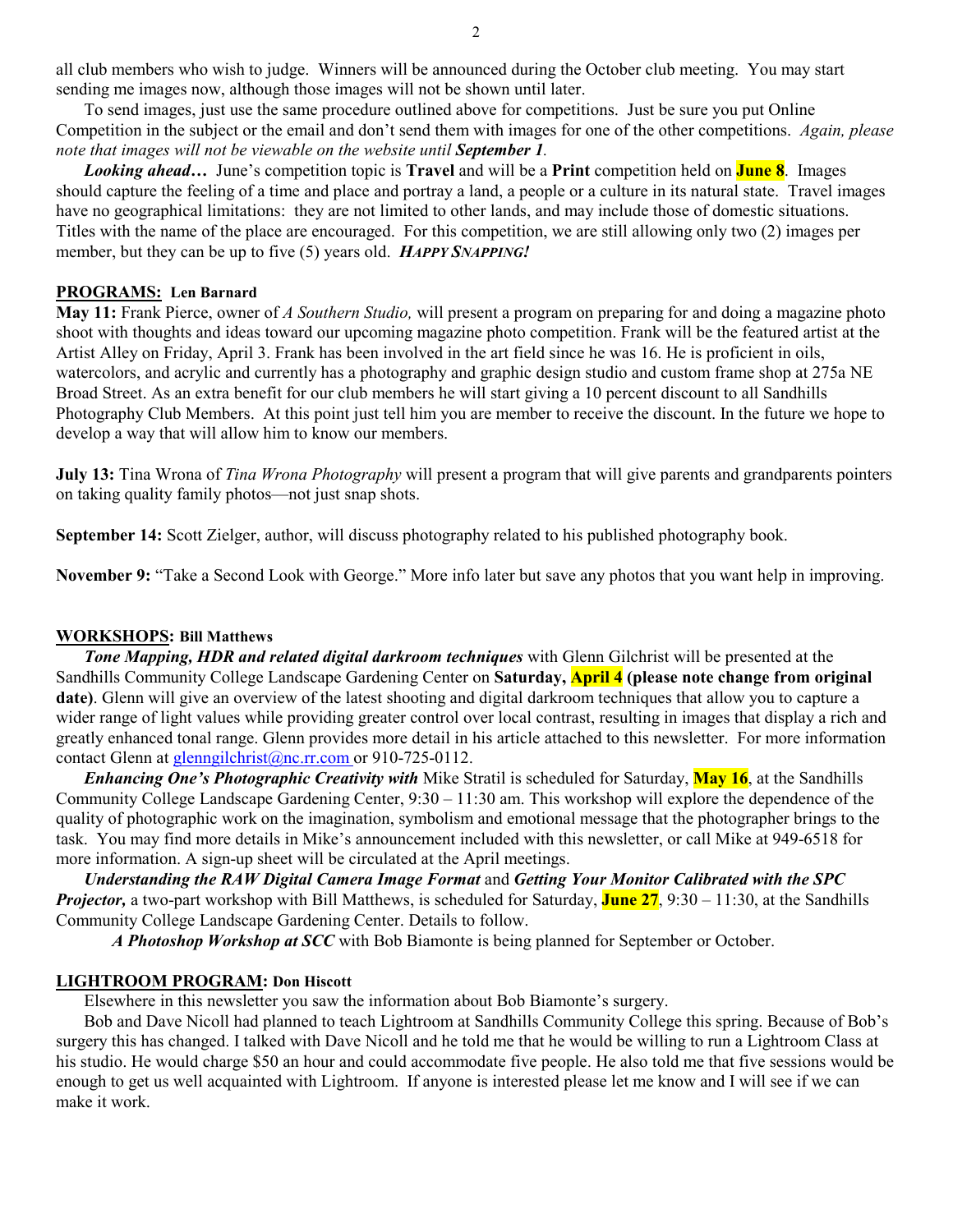all club members who wish to judge. Winners will be announced during the October club meeting. You may start sending me images now, although those images will not be shown until later.

To send images, just use the same procedure outlined above for competitions. Just be sure you put Online Competition in the subject or the email and don't send them with images for one of the other competitions. *Again, please note that images will not be viewable on the website until September 1.* 

*Looking ahead…* June's competition topic is **Travel** and will be a **Print** competition held on **June 8**. Images should capture the feeling of a time and place and portray a land, a people or a culture in its natural state. Travel images have no geographical limitations: they are not limited to other lands, and may include those of domestic situations. Titles with the name of the place are encouraged. For this competition, we are still allowing only two (2) images per member, but they can be up to five (5) years old. *HAPPY SNAPPING!*

### **PROGRAMS: Len Barnard**

**May 11:** Frank Pierce, owner of *A Southern Studio,* will present a program on preparing for and doing a magazine photo shoot with thoughts and ideas toward our upcoming magazine photo competition. Frank will be the featured artist at the Artist Alley on Friday, April 3. Frank has been involved in the art field since he was 16. He is proficient in oils, watercolors, and acrylic and currently has a photography and graphic design studio and custom frame shop at 275a NE Broad Street. As an extra benefit for our club members he will start giving a 10 percent discount to all Sandhills Photography Club Members. At this point just tell him you are member to receive the discount. In the future we hope to develop a way that will allow him to know our members.

**July 13:** Tina Wrona of *Tina Wrona Photography* will present a program that will give parents and grandparents pointers on taking quality family photos—not just snap shots.

**September 14:** Scott Zielger, author, will discuss photography related to his published photography book.

**November 9:** "Take a Second Look with George." More info later but save any photos that you want help in improving.

#### **WORKSHOPS: Bill Matthews**

*Tone Mapping, HDR and related digital darkroom techniques* with Glenn Gilchrist will be presented at the Sandhills Community College Landscape Gardening Center on **Saturday, April 4 (please note change from original date)**. Glenn will give an overview of the latest shooting and digital darkroom techniques that allow you to capture a wider range of light values while providing greater control over local contrast, resulting in images that display a rich and greatly enhanced tonal range. Glenn provides more detail in his article attached to this newsletter. For more information contact Glenn at glenngilchrist@nc.rr.com or 910-725-0112.

*Enhancing One's Photographic Creativity with* Mike Stratil is scheduled for Saturday, **May 16**, at the Sandhills Community College Landscape Gardening Center, 9:30 – 11:30 am. This workshop will explore the dependence of the quality of photographic work on the imagination, symbolism and emotional message that the photographer brings to the task. You may find more details in Mike's announcement included with this newsletter, or call Mike at 949-6518 for more information. A sign-up sheet will be circulated at the April meetings.

 *Understanding the RAW Digital Camera Image Format* and *Getting Your Monitor Calibrated with the SPC Projector,* a two-part workshop with Bill Matthews, is scheduled for Saturday, **June 27**, 9:30 – 11:30, at the Sandhills Community College Landscape Gardening Center. Details to follow.

 *A Photoshop Workshop at SCC* with Bob Biamonte is being planned for September or October.

#### **LIGHTROOM PROGRAM: Don Hiscott**

Elsewhere in this newsletter you saw the information about Bob Biamonte's surgery.

Bob and Dave Nicoll had planned to teach Lightroom at Sandhills Community College this spring. Because of Bob's surgery this has changed. I talked with Dave Nicoll and he told me that he would be willing to run a Lightroom Class at his studio. He would charge \$50 an hour and could accommodate five people. He also told me that five sessions would be enough to get us well acquainted with Lightroom. If anyone is interested please let me know and I will see if we can make it work.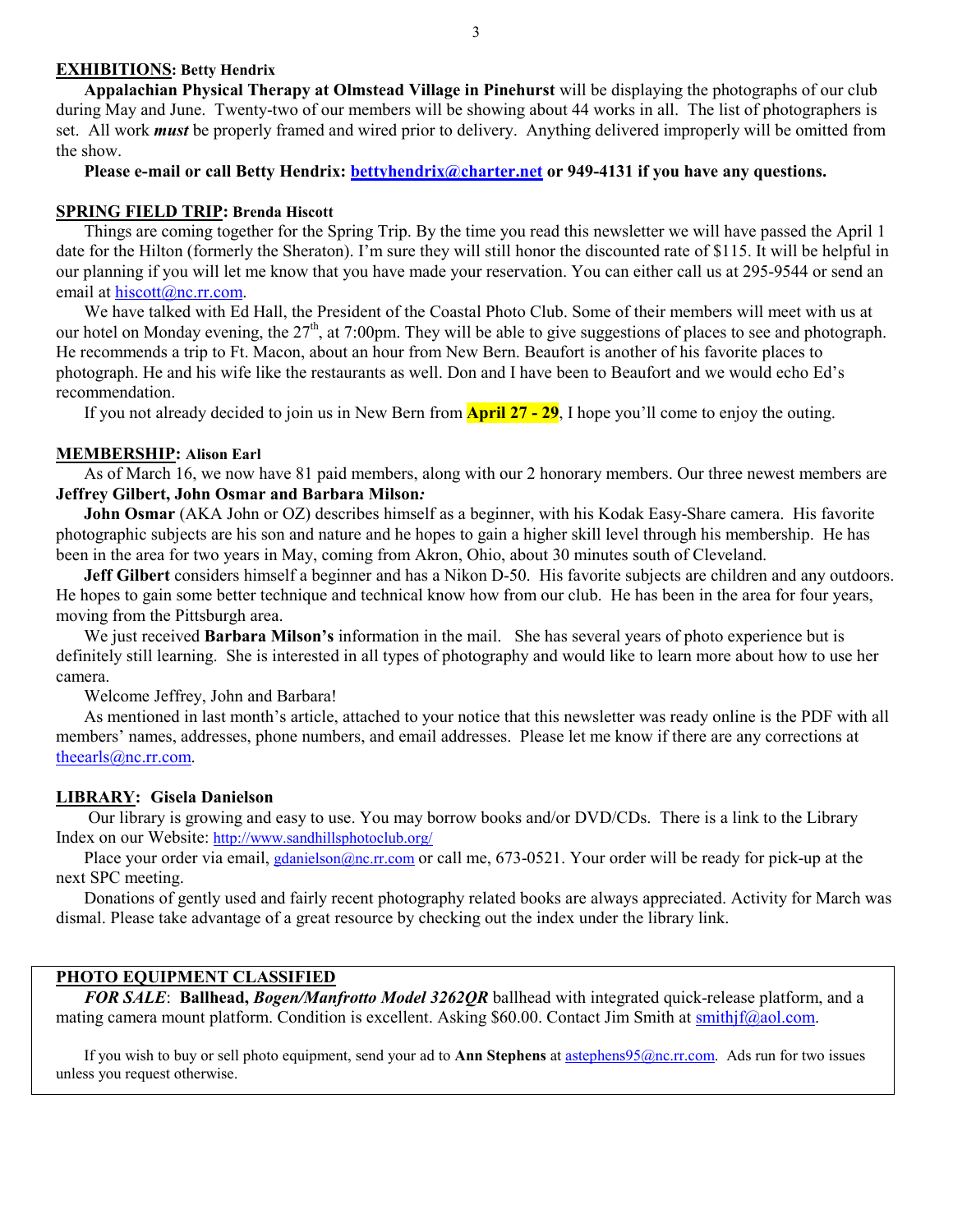### **EXHIBITIONS: Betty Hendrix**

**Appalachian Physical Therapy at Olmstead Village in Pinehurst** will be displaying the photographs of our club during May and June. Twenty-two of our members will be showing about 44 works in all. The list of photographers is set. All work *must* be properly framed and wired prior to delivery. Anything delivered improperly will be omitted from the show.

Please e-mail or call Betty Hendrix: **bettyhendrix@charter.net** or 949-4131 if you have any questions.

#### **SPRING FIELD TRIP: Brenda Hiscott**

Things are coming together for the Spring Trip. By the time you read this newsletter we will have passed the April 1 date for the Hilton (formerly the Sheraton). I'm sure they will still honor the discounted rate of \$115. It will be helpful in our planning if you will let me know that you have made your reservation. You can either call us at 295-9544 or send an email at hiscott@nc.rr.com.

We have talked with Ed Hall, the President of the Coastal Photo Club. Some of their members will meet with us at our hotel on Monday evening, the 27<sup>th</sup>, at 7:00pm. They will be able to give suggestions of places to see and photograph. He recommends a trip to Ft. Macon, about an hour from New Bern. Beaufort is another of his favorite places to photograph. He and his wife like the restaurants as well. Don and I have been to Beaufort and we would echo Ed's recommendation.

If you not already decided to join us in New Bern from **April 27 - 29**, I hope you'll come to enjoy the outing.

### **MEMBERSHIP: Alison Earl**

As of March 16, we now have 81 paid members, along with our 2 honorary members. Our three newest members are **Jeffrey Gilbert, John Osmar and Barbara Milson***:*

**John Osmar** (AKA John or OZ) describes himself as a beginner, with his Kodak Easy-Share camera. His favorite photographic subjects are his son and nature and he hopes to gain a higher skill level through his membership. He has been in the area for two years in May, coming from Akron, Ohio, about 30 minutes south of Cleveland.

**Jeff Gilbert** considers himself a beginner and has a Nikon D-50. His favorite subjects are children and any outdoors. He hopes to gain some better technique and technical know how from our club. He has been in the area for four years, moving from the Pittsburgh area.

We just received **Barbara Milson's** information in the mail. She has several years of photo experience but is definitely still learning. She is interested in all types of photography and would like to learn more about how to use her camera.

Welcome Jeffrey, John and Barbara!

As mentioned in last month's article, attached to your notice that this newsletter was ready online is the PDF with all members' names, addresses, phone numbers, and email addresses. Please let me know if there are any corrections at theearls@nc.rr.com.

### **LIBRARY: Gisela Danielson**

 Our library is growing and easy to use. You may borrow books and/or DVD/CDs. There is a link to the Library Index on our Website: http://www.sandhillsphotoclub.org/

Place your order via email, gdanielson@nc.rr.com or call me, 673-0521. Your order will be ready for pick-up at the next SPC meeting.

 Donations of gently used and fairly recent photography related books are always appreciated. Activity for March was dismal. Please take advantage of a great resource by checking out the index under the library link.

### **PHOTO EQUIPMENT CLASSIFIED**

*FOR SALE*: **Ballhead,** *Bogen/Manfrotto Model 3262QR* ballhead with integrated quick-release platform, and a mating camera mount platform. Condition is excellent. Asking \$60.00. Contact Jim Smith at smithjf@aol.com.

If you wish to buy or sell photo equipment, send your ad to **Ann Stephens** at astephens95@nc.rr.com. Ads run for two issues unless you request otherwise.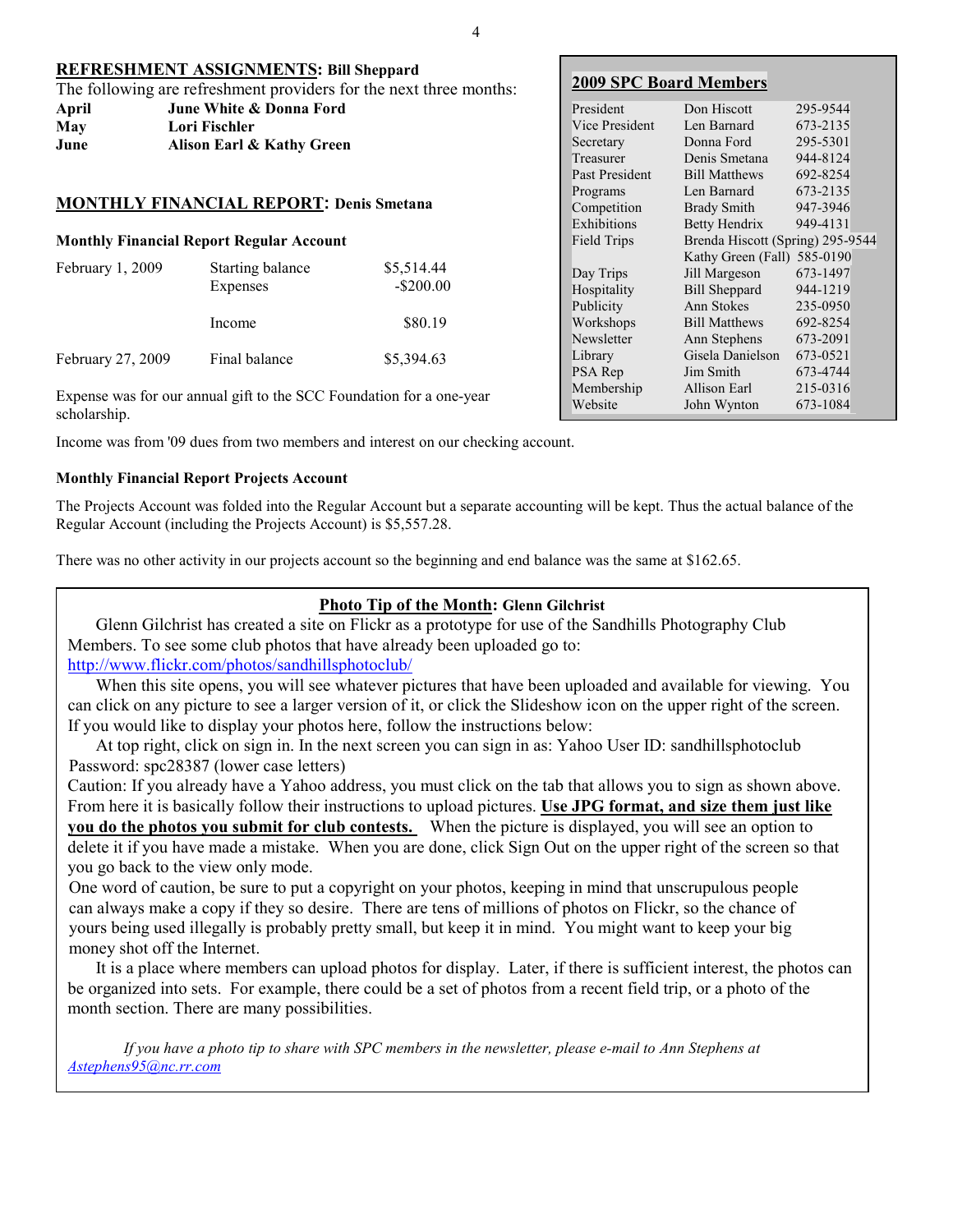| REFRESHMENT ASSIGNMENTS: Bill Sheppard                             |                           |  |  |
|--------------------------------------------------------------------|---------------------------|--|--|
| The following are refreshment providers for the next three months: |                           |  |  |
| April                                                              | June White & Donna Ford   |  |  |
| May                                                                | Lori Fischler             |  |  |
| June                                                               | Alison Earl & Kathy Green |  |  |

## **MONTHLY FINANCIAL REPORT: Denis Smetana**

## **Monthly Financial Report Regular Account**

| February $1, 2009$ | Starting balance<br>Expenses | \$5,514.44<br>$-$ \$200.00 |
|--------------------|------------------------------|----------------------------|
|                    | Income                       | \$80.19                    |
| February 27, 2009  | Final balance                | \$5,394.63                 |

Expense was for our annual gift to the SCC Foundation for a one-year scholarship.

Income was from '09 dues from two members and interest on our checking account.

## **Monthly Financial Report Projects Account**

The Projects Account was folded into the Regular Account but a separate accounting will be kept. Thus the actual balance of the Regular Account (including the Projects Account) is \$5,557.28.

There was no other activity in our projects account so the beginning and end balance was the same at \$162.65.

## **Photo Tip of the Month: Glenn Gilchrist**

Glenn Gilchrist has created a site on Flickr as a prototype for use of the Sandhills Photography Club Members. To see some club photos that have already been uploaded go to:

http://www.flickr.com/photos/sandhillsphotoclub/

When this site opens, you will see whatever pictures that have been uploaded and available for viewing. You can click on any picture to see a larger version of it, or click the Slideshow icon on the upper right of the screen. If you would like to display your photos here, follow the instructions below:

At top right, click on sign in. In the next screen you can sign in as: Yahoo User ID: sandhillsphotoclub Password: spc28387 (lower case letters)

Caution: If you already have a Yahoo address, you must click on the tab that allows you to sign as shown above. From here it is basically follow their instructions to upload pictures. **Use JPG format, and size them just like you do the photos you submit for club contests.** When the picture is displayed, you will see an option to delete it if you have made a mistake. When you are done, click Sign Out on the upper right of the screen so that you go back to the view only mode.

One word of caution, be sure to put a copyright on your photos, keeping in mind that unscrupulous people can always make a copy if they so desire. There are tens of millions of photos on Flickr, so the chance of yours being used illegally is probably pretty small, but keep it in mind. You might want to keep your big money shot off the Internet.

It is a place where members can upload photos for display. Later, if there is sufficient interest, the photos can be organized into sets. For example, there could be a set of photos from a recent field trip, or a photo of the month section. There are many possibilities.

*If you have a photo tip to share with SPC members in the newsletter, please e-mail to Ann Stephens at Astephens95@nc.rr.com*

## **2009 SPC Board Members**

| President      | Don Hiscott                      | 295-9544 |
|----------------|----------------------------------|----------|
| Vice President | Len Barnard                      | 673-2135 |
| Secretary      | Donna Ford                       | 295-5301 |
| Treasurer      | Denis Smetana                    | 944-8124 |
| Past President | <b>Bill Matthews</b>             | 692-8254 |
| Programs       | Len Barnard                      | 673-2135 |
| Competition    | <b>Brady Smith</b>               | 947-3946 |
| Exhibitions    | Betty Hendrix                    | 949-4131 |
| Field Trips    | Brenda Hiscott (Spring) 295-9544 |          |
|                | Kathy Green (Fall)               | 585-0190 |
| Day Trips      | Jill Margeson                    | 673-1497 |
| Hospitality    | <b>Bill Sheppard</b>             | 944-1219 |
| Publicity      | Ann Stokes                       | 235-0950 |
| Workshops      | <b>Bill Matthews</b>             | 692-8254 |
| Newsletter     | Ann Stephens                     | 673-2091 |
| Library        | Gisela Danielson                 | 673-0521 |
| PSA Rep        | Jim Smith                        | 673-4744 |
| Membership     | Allison Earl                     | 215-0316 |
| Website        | John Wynton                      | 673-1084 |
|                |                                  |          |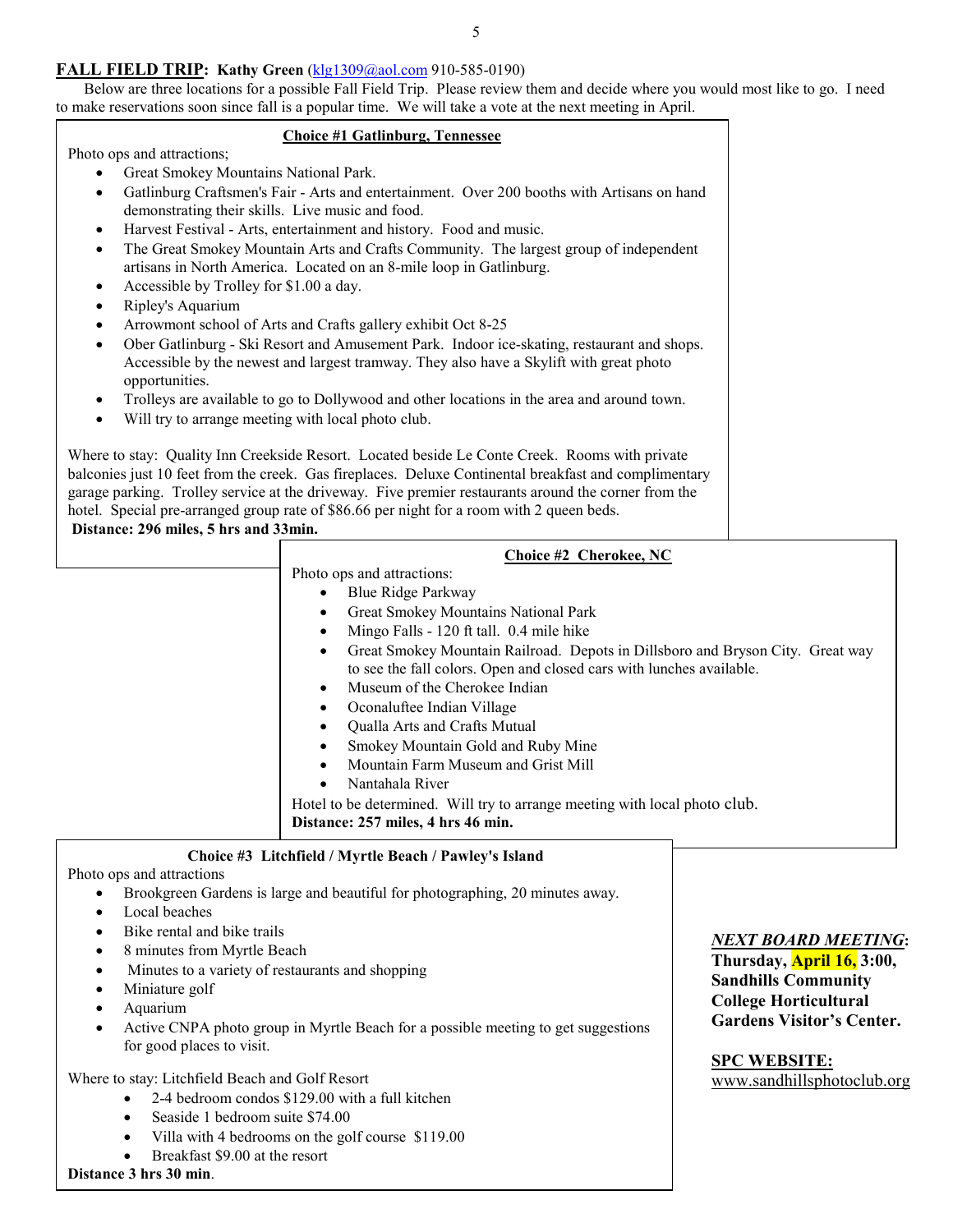## **FALL FIELD TRIP: Kathy Green** (klg1309@aol.com 910-585-0190)

 Below are three locations for a possible Fall Field Trip. Please review them and decide where you would most like to go. I need to make reservations soon since fall is a popular time. We will take a vote at the next meeting in April.

## **Choice #1 Gatlinburg, Tennessee** Photo ops and attractions; • Great Smokey Mountains National Park. • Gatlinburg Craftsmen's Fair - Arts and entertainment. Over 200 booths with Artisans on hand demonstrating their skills. Live music and food. • Harvest Festival - Arts, entertainment and history. Food and music. • The Great Smokey Mountain Arts and Crafts Community. The largest group of independent artisans in North America. Located on an 8-mile loop in Gatlinburg. • Accessible by Trolley for \$1.00 a day. • Ripley's Aquarium • Arrowmont school of Arts and Crafts gallery exhibit Oct 8-25 • Ober Gatlinburg - Ski Resort and Amusement Park. Indoor ice-skating, restaurant and shops. Accessible by the newest and largest tramway. They also have a Skylift with great photo opportunities. • Trolleys are available to go to Dollywood and other locations in the area and around town. Will try to arrange meeting with local photo club. Where to stay: Quality Inn Creekside Resort. Located beside Le Conte Creek. Rooms with private balconies just 10 feet from the creek. Gas fireplaces. Deluxe Continental breakfast and complimentary garage parking. Trolley service at the driveway. Five premier restaurants around the corner from the hotel. Special pre-arranged group rate of \$86.66 per night for a room with 2 queen beds. **Distance: 296 miles, 5 hrs and 33min. Choice #2 Cherokee, NC** Photo ops and attractions: • Blue Ridge Parkway • Great Smokey Mountains National Park • Mingo Falls - 120 ft tall. 0.4 mile hike • Great Smokey Mountain Railroad. Depots in Dillsboro and Bryson City. Great way to see the fall colors. Open and closed cars with lunches available.

- Museum of the Cherokee Indian • Oconaluftee Indian Village • Qualla Arts and Crafts Mutual • Smokey Mountain Gold and Ruby Mine • Mountain Farm Museum and Grist Mill
	- Nantahala River

Hotel to be determined. Will try to arrange meeting with local photo club. **Distance: 257 miles, 4 hrs 46 min.** 

## **Choice #3 Litchfield / Myrtle Beach / Pawley's Island**

Photo ops and attractions

- Brookgreen Gardens is large and beautiful for photographing, 20 minutes away.
- Local beaches
- Bike rental and bike trails
- 8 minutes from Myrtle Beach
- Minutes to a variety of restaurants and shopping
- Miniature golf
- Aquarium
- Active CNPA photo group in Myrtle Beach for a possible meeting to get suggestions for good places to visit.

Where to stay: Litchfield Beach and Golf Resort

- 2-4 bedroom condos \$129.00 with a full kitchen
- Seaside 1 bedroom suite \$74.00
- Villa with 4 bedrooms on the golf course \$119.00
- Breakfast \$9.00 at the resort

**Distance 3 hrs 30 min**.

# *NEXT BOARD MEETING***:**

**Thursday, April 16, 3:00, Sandhills Community College Horticultural Gardens Visitor's Center.** 

**SPC WEBSITE:** www.sandhillsphotoclub.org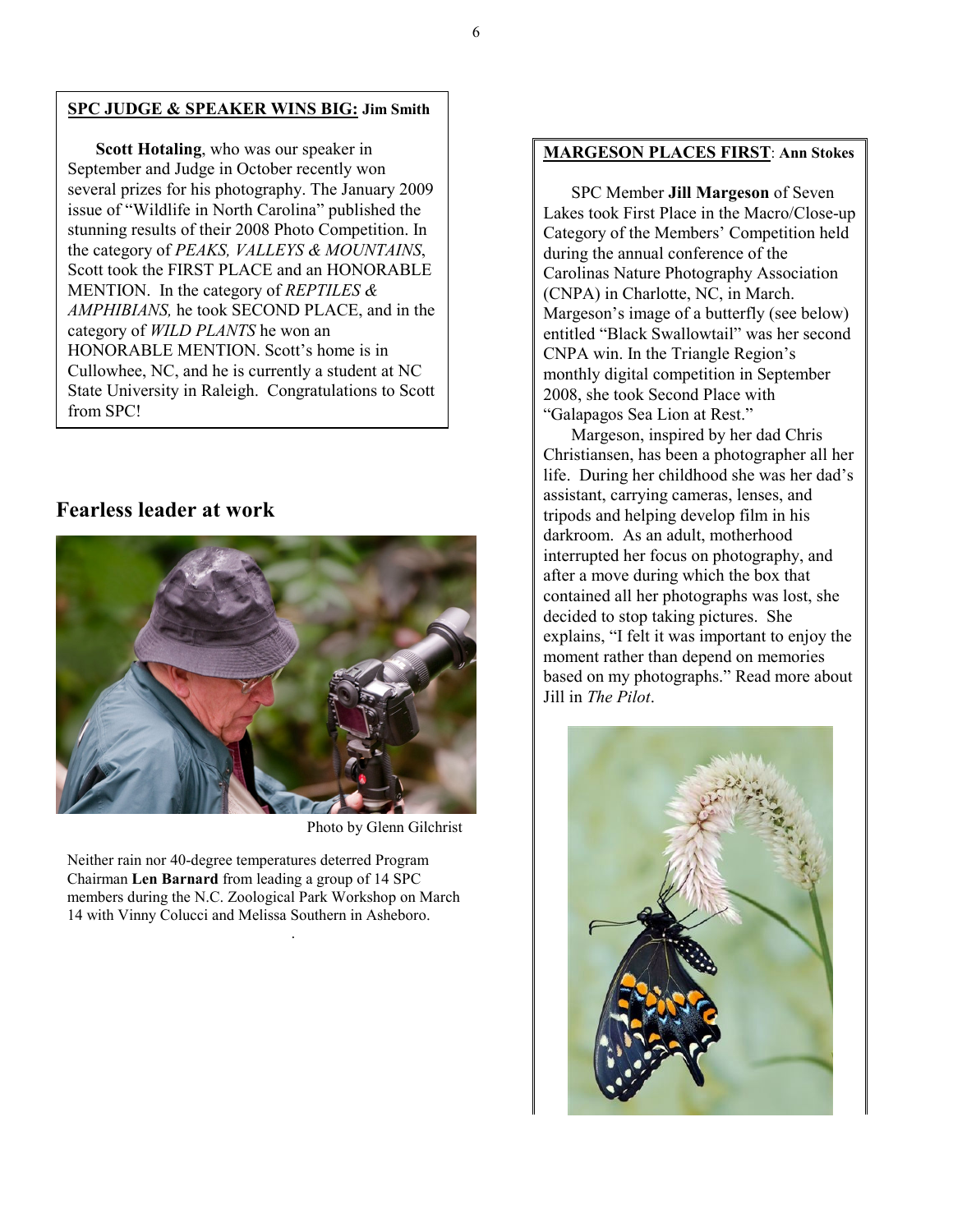### **SPC JUDGE & SPEAKER WINS BIG: Jim Smith**

**Scott Hotaling**, who was our speaker in September and Judge in October recently won several prizes for his photography. The January 2009 issue of "Wildlife in North Carolina" published the stunning results of their 2008 Photo Competition. In the category of *PEAKS, VALLEYS & MOUNTAINS*, Scott took the FIRST PLACE and an HONORABLE MENTION. In the category of *REPTILES & AMPHIBIANS,* he took SECOND PLACE, and in the category of *WILD PLANTS* he won an HONORABLE MENTION. Scott's home is in Cullowhee, NC, and he is currently a student at NC State University in Raleigh. Congratulations to Scott from SPC!

## **Fearless leader at work**



Photo by Glenn Gilchrist

Neither rain nor 40-degree temperatures deterred Program Chairman **Len Barnard** from leading a group of 14 SPC members during the N.C. Zoological Park Workshop on March 14 with Vinny Colucci and Melissa Southern in Asheboro.

.

## **MARGESON PLACES FIRST**: **Ann Stokes**

SPC Member **Jill Margeson** of Seven Lakes took First Place in the Macro/Close-up Category of the Members' Competition held during the annual conference of the Carolinas Nature Photography Association (CNPA) in Charlotte, NC, in March. Margeson's image of a butterfly (see below) entitled "Black Swallowtail" was her second CNPA win. In the Triangle Region's monthly digital competition in September 2008, she took Second Place with "Galapagos Sea Lion at Rest."

Margeson, inspired by her dad Chris Christiansen, has been a photographer all her life. During her childhood she was her dad's assistant, carrying cameras, lenses, and tripods and helping develop film in his darkroom. As an adult, motherhood interrupted her focus on photography, and after a move during which the box that contained all her photographs was lost, she decided to stop taking pictures. She explains, "I felt it was important to enjoy the moment rather than depend on memories based on my photographs." Read more about Jill in *The Pilot*.